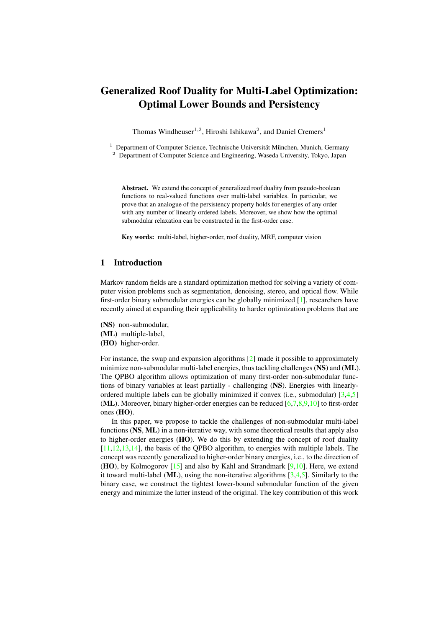# <span id="page-0-0"></span>Generalized Roof Duality for Multi-Label Optimization: Optimal Lower Bounds and Persistency

Thomas Windheuser<sup>1,2</sup>, Hiroshi Ishikawa<sup>2</sup>, and Daniel Cremers<sup>1</sup>

 $1$  Department of Computer Science, Technische Universität München, Munich, Germany <sup>2</sup> Department of Computer Science and Engineering, Waseda University, Tokyo, Japan

Abstract. We extend the concept of generalized roof duality from pseudo-boolean functions to real-valued functions over multi-label variables. In particular, we prove that an analogue of the persistency property holds for energies of any order with any number of linearly ordered labels. Moreover, we show how the optimal submodular relaxation can be constructed in the first-order case.

Key words: multi-label, higher-order, roof duality, MRF, computer vision

# 1 Introduction

Markov random fields are a standard optimization method for solving a variety of computer vision problems such as segmentation, denoising, stereo, and optical flow. While first-order binary submodular energies can be globally minimized [\[1\]](#page-12-0), researchers have recently aimed at expanding their applicability to harder optimization problems that are

- (NS) non-submodular,
- (ML) multiple-label,
- (HO) higher-order.

For instance, the swap and expansion algorithms [\[2\]](#page-12-1) made it possible to approximately minimize non-submodular multi-label energies, thus tackling challenges (NS) and (ML). The QPBO algorithm allows optimization of many first-order non-submodular functions of binary variables at least partially - challenging (NS). Energies with linearlyordered multiple labels can be globally minimized if convex (i.e., submodular) [\[3](#page-12-2)[,4](#page-12-3)[,5\]](#page-13-0) (ML). Moreover, binary higher-order energies can be reduced  $[6,7,8,9,10]$  $[6,7,8,9,10]$  $[6,7,8,9,10]$  $[6,7,8,9,10]$  $[6,7,8,9,10]$  to first-order ones (HO).

In this paper, we propose to tackle the challenges of non-submodular multi-label functions (NS, ML) in a non-iterative way, with some theoretical results that apply also to higher-order energies  $(HO)$ . We do this by extending the concept of roof duality [\[11,](#page-13-6)[12](#page-13-7)[,13](#page-13-8)[,14\]](#page-13-9), the basis of the QPBO algorithm, to energies with multiple labels. The concept was recently generalized to higher-order binary energies, i.e., to the direction of (HO), by Kolmogorov [\[15\]](#page-13-10) and also by Kahl and Strandmark [\[9](#page-13-4)[,10\]](#page-13-5). Here, we extend it toward multi-label ( $ML$ ), using the non-iterative algorithms  $[3,4,5]$  $[3,4,5]$  $[3,4,5]$ . Similarly to the binary case, we construct the tightest lower-bound submodular function of the given energy and minimize the latter instead of the original. The key contribution of this work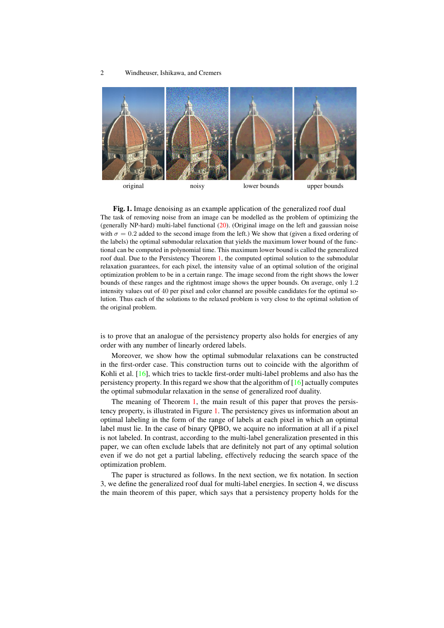<span id="page-1-1"></span>

<span id="page-1-0"></span>Fig. 1. Image denoising as an example application of the generalized roof dual The task of removing noise from an image can be modelled as the problem of optimizing the (generally NP-hard) multi-label functional [\(20\)](#page-7-0). (Original image on the left and gaussian noise with  $\sigma = 0.2$  added to the second image from the left.) We show that (given a fixed ordering of the labels) the optimal submodular relaxation that yields the maximum lower bound of the functional can be computed in polynomial time. This maximum lower bound is called the generalized roof dual. Due to the Persistency Theorem [1,](#page-4-0) the computed optimal solution to the submodular relaxation guarantees, for each pixel, the intensity value of an optimal solution of the original optimization problem to be in a certain range. The image second from the right shows the lower bounds of these ranges and the rightmost image shows the upper bounds. On average, only 1.2 intensity values out of 40 per pixel and color channel are possible candidates for the optimal solution. Thus each of the solutions to the relaxed problem is very close to the optimal solution of the original problem.

is to prove that an analogue of the persistency property also holds for energies of any order with any number of linearly ordered labels.

Moreover, we show how the optimal submodular relaxations can be constructed in the first-order case. This construction turns out to coincide with the algorithm of Kohli et al. [\[16\]](#page-13-11), which tries to tackle first-order multi-label problems and also has the persistency property. In this regard we show that the algorithm of  $[16]$  actually computes the optimal submodular relaxation in the sense of generalized roof duality.

The meaning of Theorem [1,](#page-4-0) the main result of this paper that proves the persistency property, is illustrated in Figure [1.](#page-1-0) The persistency gives us information about an optimal labeling in the form of the range of labels at each pixel in which an optimal label must lie. In the case of binary QPBO, we acquire no information at all if a pixel is not labeled. In contrast, according to the multi-label generalization presented in this paper, we can often exclude labels that are definitely not part of any optimal solution even if we do not get a partial labeling, effectively reducing the search space of the optimization problem.

The paper is structured as follows. In the next section, we fix notation. In section 3, we define the generalized roof dual for multi-label energies. In section 4, we discuss the main theorem of this paper, which says that a persistency property holds for the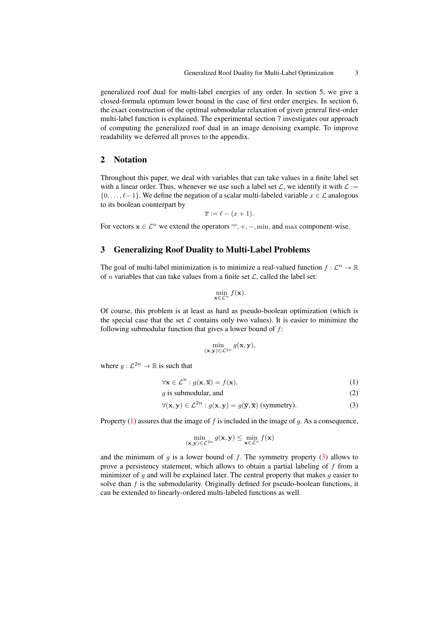generalized roof dual for multi-label energies of any order. In section 5, we give a closed-formula optimum lower bound in the case of first order energies. In section 6, the exact construction of the optimal submodular relaxation of given general first-order multi-label function is explained. The experimental section 7 investigates our approach of computing the generalized roof dual in an image denoising example. To improve readability we deferred all proves to the appendix.

## 2 Notation

Throughout this paper, we deal with variables that can take values in a finite label set with a linear order. Thus, whenever we use such a label set  $\mathcal{L}$ , we identify it with  $\mathcal{L}$  :=  $\{0, \ldots, \ell-1\}$ . We define the negation of a scalar multi-labeled variable  $x \in \mathcal{L}$  analogous to its boolean counterpart by

$$
\overline{x} := \ell - (x+1).
$$

For vectors  $x \in \mathcal{L}^n$  we extend the operators  $\overline{\cdot}, +, -, \min$ , and  $\max$  component-wise.

## 3 Generalizing Roof Duality to Multi-Label Problems

The goal of multi-label minimization is to minimize a real-valued function  $f : \mathcal{L}^n \to \mathbb{R}$ of *n* variables that can take values from a finite set  $\mathcal{L}$ , called the label set:

<span id="page-2-0"></span>
$$
\min_{\mathbf{x}\in\mathcal{L}^n}f(\mathbf{x}).
$$

Of course, this problem is at least as hard as pseudo-boolean optimization (which is the special case that the set  $\mathcal L$  contains only two values). It is easier to minimize the following submodular function that gives a lower bound of  $f$ :

<span id="page-2-3"></span><span id="page-2-1"></span>
$$
\min_{(\mathbf{x},\mathbf{y})\in \mathcal{L}^{2n}} g(\mathbf{x},\mathbf{y}),
$$

where  $g: \mathcal{L}^{2n} \to \mathbb{R}$  is such that

$$
\forall \mathbf{x} \in \mathcal{L}^n : g(\mathbf{x}, \overline{\mathbf{x}}) = f(\mathbf{x}),\tag{1}
$$

$$
g \text{ is submodular, and} \tag{2}
$$

$$
\forall (\mathbf{x}, \mathbf{y}) \in \mathcal{L}^{2n} : g(\mathbf{x}, \mathbf{y}) = g(\overline{\mathbf{y}}, \overline{\mathbf{x}}) \text{ (symmetry)}.
$$
 (3)

Property [\(1\)](#page-2-0) assures that the image of  $f$  is included in the image of  $g$ . As a consequence,

<span id="page-2-2"></span>
$$
\min_{(\mathbf{x}, \mathbf{y}) \in \mathcal{L}^{2n}} g(\mathbf{x}, \mathbf{y}) \le \min_{\mathbf{x} \in \mathcal{L}^n} f(\mathbf{x})
$$

and the minimum of g is a lower bound of f. The symmetry property  $(3)$  allows to prove a persistency statement, which allows to obtain a partial labeling of  $f$  from a minimizer of  $g$  and will be explained later. The central property that makes  $g$  easier to solve than  $f$  is the submodularity. Originally defined for pseudo-boolean functions, it can be extended to linearly-ordered multi-labeled functions as well.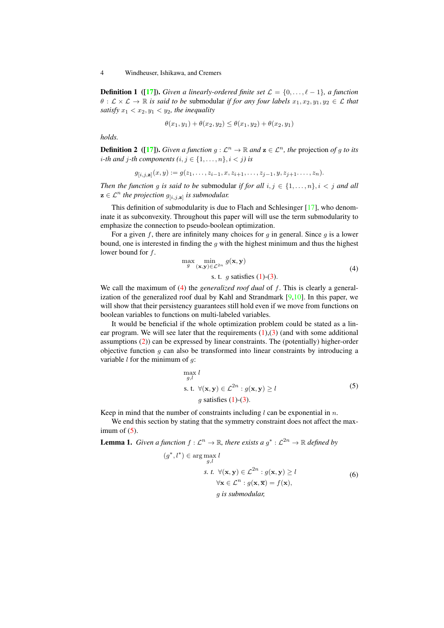<span id="page-3-3"></span>**Definition 1** ([\[17\]](#page-13-12)). *Given a linearly-ordered finite set*  $\mathcal{L} = \{0, \ldots, \ell - 1\}$ , *a function*  $\theta : \mathcal{L} \times \mathcal{L} \to \mathbb{R}$  *is said to be submodular if for any four labels*  $x_1, x_2, y_1, y_2 \in \mathcal{L}$  *that satisfy*  $x_1 < x_2, y_1 < y_2$ *, the inequality* 

$$
\theta(x_1, y_1) + \theta(x_2, y_2) \le \theta(x_1, y_2) + \theta(x_2, y_1)
$$

*holds.*

**Definition 2** ([\[17\]](#page-13-12)). *Given a function*  $g : \mathcal{L}^n \to \mathbb{R}$  and  $\mathbf{z} \in \mathcal{L}^n$ , the projection of g to its *i*-th and *j*-th components  $(i, j \in \{1, \ldots, n\}, i < j)$  is

$$
g_{[i,j,\mathbf{z}]}(x,y) := g(z_1,\ldots,z_{i-1},x,z_{i+1},\ldots,z_{j-1},y,z_{j+1},\ldots,z_n).
$$

*Then the function g is said to be submodular if for all*  $i, j \in \{1, \ldots, n\}, i < j$  *and all*  $z \in \mathcal{L}^n$  the projection  $g_{[i,j,z]}$  is submodular.

This definition of submodularity is due to Flach and Schlesinger [\[17\]](#page-13-12), who denominate it as subconvexity. Throughout this paper will will use the term submodularity to emphasize the connection to pseudo-boolean optimization.

For a given f, there are infinitely many choices for q in general. Since q is a lower bound, one is interested in finding the q with the highest minimum and thus the highest lower bound for f.

$$
\max_{g} \min_{(\mathbf{x}, \mathbf{y}) \in \mathcal{L}^{2n}} g(\mathbf{x}, \mathbf{y})
$$
  
s. t. g satisfies (1)-(3). (4)

We call the maximum of [\(4\)](#page-2-2) the *generalized roof dual* of f. This is clearly a generalization of the generalized roof dual by Kahl and Strandmark  $[9,10]$  $[9,10]$ . In this paper, we will show that their persistency guarantees still hold even if we move from functions on boolean variables to functions on multi-labeled variables.

It would be beneficial if the whole optimization problem could be stated as a linear program. We will see later that the requirements  $(1)(3)$  $(1)(3)$  (and with some additional assumptions [\(2\)](#page-2-3)) can be expressed by linear constraints. The (potentially) higher-order objective function  $g$  can also be transformed into linear constraints by introducing a variable  $l$  for the minimum of  $q$ :

<span id="page-3-0"></span>
$$
\max_{g,l} l
$$
\ns. t.  $\forall (\mathbf{x}, \mathbf{y}) \in \mathcal{L}^{2n} : g(\mathbf{x}, \mathbf{y}) \ge l$ \n  
\ng satisfies (1)-(3). (5)

Keep in mind that the number of constraints including  $l$  can be exponential in  $n$ .

We end this section by stating that the symmetry constraint does not affect the maximum of  $(5)$ .

**Lemma 1.** *Given a function*  $f : \mathcal{L}^n \to \mathbb{R}$ *, there exists a*  $g^* : \mathcal{L}^{2n} \to \mathbb{R}$  *defined by* 

<span id="page-3-2"></span><span id="page-3-1"></span>
$$
(g^*, l^*) \in \arg\max_{g,l} l
$$
  
s. t.  $\forall (\mathbf{x}, \mathbf{y}) \in \mathcal{L}^{2n} : g(\mathbf{x}, \mathbf{y}) \ge l$   
 $\forall \mathbf{x} \in \mathcal{L}^n : g(\mathbf{x}, \overline{\mathbf{x}}) = f(\mathbf{x}),$   
g is submodular, (6)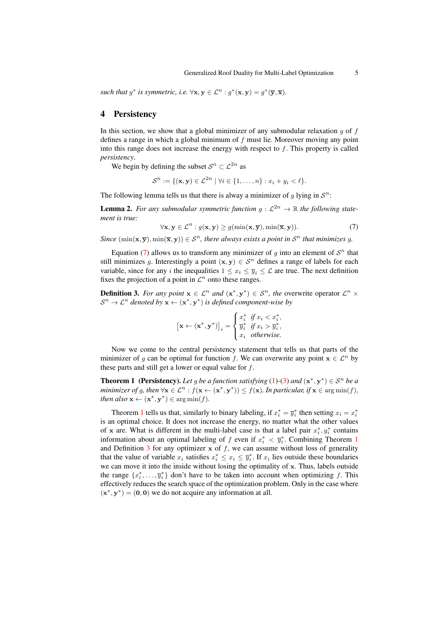such that  $g^*$  is symmetric, i.e.  $\forall x, y \in \mathcal{L}^n : g^*(x, y) = g^*(\overline{y}, \overline{x})$ .

### 4 Persistency

In this section, we show that a global minimizer of any submodular relaxation  $g$  of  $f$ defines a range in which a global minimum of f must lie. Moreover moving any point into this range does not increase the energy with respect to  $f$ . This property is called *persistency*.

We begin by defining the subset  $S^n \subset \mathcal{L}^{2n}$  as

<span id="page-4-1"></span>
$$
\mathcal{S}^n := \{(\mathbf{x}, \mathbf{y}) \in \mathcal{L}^{2n} \mid \forall i \in \{1, \dots, n\} : x_i + y_i < \ell\}.
$$

The following lemma tells us that there is alway a minimizer of g lying in  $\mathcal{S}^n$ :

<span id="page-4-3"></span>**Lemma 2.** For any submodular symmetric function  $g: \mathcal{L}^{2n} \to \mathbb{R}$  the following state*ment is true:*

$$
\forall \mathbf{x}, \mathbf{y} \in \mathcal{L}^n : g(\mathbf{x}, \mathbf{y}) \ge g(\min(\mathbf{x}, \overline{\mathbf{y}}), \min(\overline{\mathbf{x}}, \mathbf{y})).
$$
\n(7)

*Since*  $(\min(\mathbf{x}, \overline{\mathbf{y}}), \min(\overline{\mathbf{x}}, \mathbf{y})) \in S^n$ , there always exists a point in  $S^n$  that minimizes g.

Equation [\(7\)](#page-4-1) allows us to transform any minimizer of  $g$  into an element of  $S<sup>n</sup>$  that still minimizes g. Interestingly a point  $(x, y) \in S<sup>n</sup>$  defines a range of labels for each variable, since for any *i* the inequalities  $1 \le x_i \le \overline{y}_i \le \mathcal{L}$  are true. The next definition fixes the projection of a point in  $\mathcal{L}^n$  onto these ranges.

<span id="page-4-2"></span>**Definition 3.** For any point  $x \in \mathcal{L}^n$  and  $(x^*, y^*) \in \mathcal{S}^n$ , the overwrite operator  $\mathcal{L}^n \times$  $S^n \to \mathcal{L}^n$  denoted by  $\mathbf{x} \leftarrow (\mathbf{x}^*, \mathbf{y}^*)$  is defined component-wise by

$$
\begin{aligned} \left[\mathbf{x} \leftarrow (\mathbf{x}^*, \mathbf{y}^*)\right]_i = \begin{cases} x_i^* & \text{if } x_i < x_i^*, \\ \overline{y}_i^* & \text{if } x_i > \overline{y}_i^*, \\ x_i & \text{otherwise.} \end{cases} \end{aligned}
$$

Now we come to the central persistency statement that tells us that parts of the minimizer of g can be optimal for function f. We can overwrite any point  $x \in \mathcal{L}^n$  by these parts and still get a lower or equal value for  $f$ .

<span id="page-4-0"></span>**Theorem 1** (Persistency). Let g be a function satisfying [\(1\)](#page-2-0)-[\(3\)](#page-2-1) and  $(x^*, y^*) \in S^n$  be a *minimizer of g, then*  $\forall x \in \mathcal{L}^n : f(x \leftarrow (x^*, y^*)) \le f(x)$ *. In particular, if*  $x \in \arg \min(f)$ *, then also*  $\mathbf{x} \leftarrow (\mathbf{x}^*, \mathbf{y}^*) \in \arg \min(f)$ .

Theorem [1](#page-4-0) tells us that, similarly to binary labeling, if  $x_i^* = \overline{y}_i^*$  then setting  $x_i = x_i^*$ is an optimal choice. It does not increase the energy, no matter what the other values of x are. What is different in the multi-label case is that a label pair  $x_i^*, y_i^*$  contains information about an optimal labeling of f even if  $x_i^* < \overline{y}_i^*$ . Combining Theorem [1](#page-4-0) and Definition  $3$  for any optimizer  $x$  of  $f$ , we can assume without loss of generality that the value of variable  $x_i$  satisfies  $x_i^* \leq x_i \leq \overline{y}_i^*$ . If  $x_i$  lies outside these boundaries we can move it into the inside without losing the optimality of  $x$ . Thus, labels outside the range  $\{x_i^*, \ldots, \overline{y_i^*}\}$  don't have to be taken into account when optimizing f. This effectively reduces the search space of the optimization problem. Only in the case where  $(\mathbf{x}^*, \mathbf{y}^*) = (0, 0)$  we do not acquire any information at all.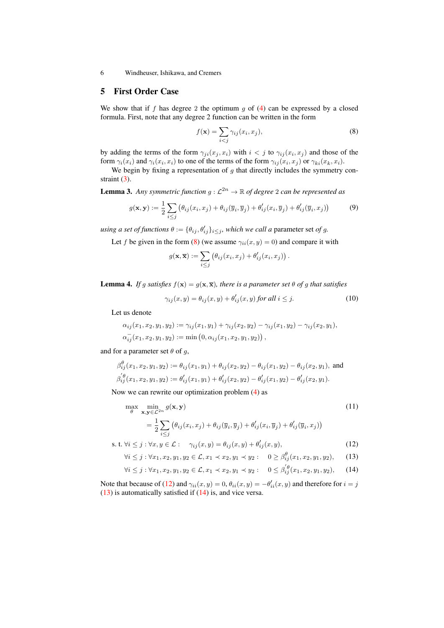### 5 First Order Case

We show that if f has degree 2 the optimum  $g$  of [\(4\)](#page-2-2) can be expressed by a closed formula. First, note that any degree 2 function can be written in the form

<span id="page-5-0"></span>
$$
f(\mathbf{x}) = \sum_{i < j} \gamma_{ij}(x_i, x_j),\tag{8}
$$

by adding the terms of the form  $\gamma_{ji}(x_j, x_i)$  with  $i < j$  to  $\gamma_{ij}(x_i, x_j)$  and those of the form  $\gamma_i(x_i)$  and  $\gamma_i(x_i, x_i)$  to one of the terms of the form  $\gamma_{ij}(x_i, x_j)$  or  $\gamma_{ki}(x_k, x_i)$ .

We begin by fixing a representation of  $g$  that directly includes the symmetry constraint  $(3)$ .

**Lemma 3.** Any symmetric function  $g : \mathcal{L}^{2n} \to \mathbb{R}$  of degree 2 can be represented as

<span id="page-5-8"></span><span id="page-5-6"></span>
$$
g(\mathbf{x}, \mathbf{y}) := \frac{1}{2} \sum_{i \leq j} \left( \theta_{ij}(x_i, x_j) + \theta_{ij}(\overline{y}_i, \overline{y}_j) + \theta'_{ij}(x_i, \overline{y}_j) + \theta'_{ij}(\overline{y}_i, x_j) \right)
$$
(9)

*using a set of functions*  $\theta := {\theta_{ij}, \theta'_{ij}}_{i \leq j}$ , which we call a parameter set of g.

Let f be given in the form [\(8\)](#page-5-0) (we assume  $\gamma_{ii}(x, y) = 0$ ) and compare it with

<span id="page-5-9"></span>
$$
g(\mathbf{x}, \overline{\mathbf{x}}) := \sum_{i \leq j} \left( \theta_{ij}(x_i, x_j) + \theta'_{ij}(x_i, x_j) \right).
$$

<span id="page-5-7"></span>**Lemma 4.** *If g satisfies*  $f(x) = g(x, \overline{x})$ *, there is a parameter set*  $\theta$  *of g that satisfies* 

<span id="page-5-4"></span>
$$
\gamma_{ij}(x,y) = \theta_{ij}(x,y) + \theta'_{ij}(x,y) \text{ for all } i \leq j. \tag{10}
$$

Let us denote

$$
\alpha_{ij}(x_1, x_2, y_1, y_2) := \gamma_{ij}(x_1, y_1) + \gamma_{ij}(x_2, y_2) - \gamma_{ij}(x_1, y_2) - \gamma_{ij}(x_2, y_1),
$$
  

$$
\alpha_{ij}^{-}(x_1, x_2, y_1, y_2) := \min(0, \alpha_{ij}(x_1, x_2, y_1, y_2)),
$$

and for a parameter set  $\theta$  of  $q$ ,

$$
\beta_{ij}^{\theta}(x_1, x_2, y_1, y_2) := \theta_{ij}(x_1, y_1) + \theta_{ij}(x_2, y_2) - \theta_{ij}(x_1, y_2) - \theta_{ij}(x_2, y_1), \text{ and}
$$
  

$$
\beta_{ij}^{'\theta}(x_1, x_2, y_1, y_2) := \theta_{ij}'(x_1, y_1) + \theta_{ij}'(x_2, y_2) - \theta_{ij}'(x_1, y_2) - \theta_{ij}'(x_2, y_1).
$$

Now we can rewrite our optimization problem [\(4\)](#page-2-2) as

$$
\max_{\theta} \min_{\mathbf{x}, \mathbf{y} \in \mathcal{L}^{2n}} g(\mathbf{x}, \mathbf{y})
$$
\n
$$
= \frac{1}{2} \sum_{i \leq j} \left( \theta_{ij}(x_i, x_j) + \theta_{ij}(\overline{y}_i, \overline{y}_j) + \theta'_{ij}(x_i, \overline{y}_j) + \theta'_{ij}(\overline{y}_i, x_j) \right)
$$
\ns. t.  $\forall i \leq j : \forall x, y \in \mathcal{L}:$   $\gamma_{ij}(x, y) = \theta_{ij}(x, y) + \theta'_{ij}(x, y),$ \n(12)

$$
s.t. \forall i \leq j \cdot \forall x, y \in \mathcal{L}.
$$

<span id="page-5-2"></span><span id="page-5-1"></span>
$$
\forall i \leq j : \forall x_1, x_2, y_1, y_2 \in \mathcal{L}, x_1 \prec x_2, y_1 \prec y_2 : 0 \geq \beta_{ij}^*(x_1, x_2, y_1, y_2), \quad (13)
$$

<span id="page-5-3"></span>
$$
\forall i \leq j : \forall x_1, x_2, y_1, y_2 \in \mathcal{L}, x_1 \prec x_2, y_1 \prec y_2 : 0 \leq \beta_{ij}^{'\theta}(x_1, x_2, y_1, y_2), \qquad (14)
$$

<span id="page-5-5"></span>Note that because of [\(12\)](#page-5-1) and  $\gamma_{ii}(x, y) = 0$ ,  $\theta_{ii}(x, y) = -\theta'_{ii}(x, y)$  and therefore for  $i = j$ [\(13\)](#page-5-2) is automatically satisfied if [\(14\)](#page-5-3) is, and vice versa.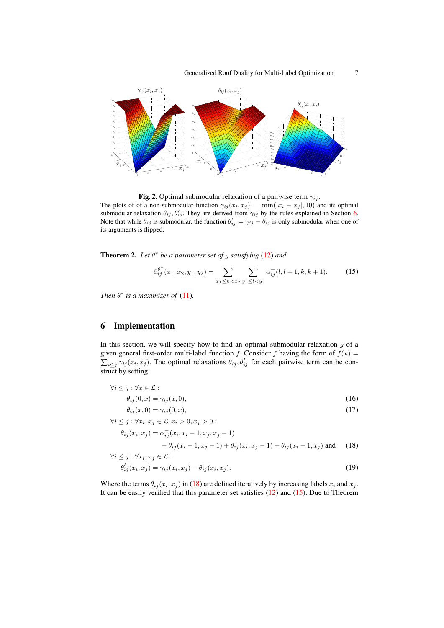

<span id="page-6-3"></span>Fig. 2. Optimal submodular relaxation of a pairwise term  $\gamma_{ij}$ . The plots of of a non-submodular function  $\gamma_{ij}(x_i, x_j) = \min(|x_i - x_j|, 10)$  and its optimal submodular relaxation  $\theta_{ij}$ ,  $\theta'_{ij}$ . They are derived from  $\gamma_{ij}$  by the rules explained in Section [6.](#page-6-0) Note that while  $\theta_{ij}$  is submodular, the function  $\theta'_{ij} = \gamma_{ij} - \theta_{ij}$  is only submodular when one of its arguments is flipped.

Theorem 2. *Let* θ ∗ *be a parameter set of* g *satisfying* [\(12\)](#page-5-1) *and*

<span id="page-6-2"></span>
$$
\beta_{ij}^{\theta^*}(x_1, x_2, y_1, y_2) = \sum_{x_1 \le k < x_2} \sum_{y_1 \le l < y_2} \alpha_{ij}^-(l, l+1, k, k+1). \tag{15}
$$

*Then*  $\theta^*$  *is a maximizer of* [\(11\)](#page-5-4)*.* 

### <span id="page-6-0"></span>6 Implementation

In this section, we will specify how to find an optimal submodular relaxation  $g$  of a given general first-order multi-label function f. Consider f having the form of  $f(\mathbf{x}) =$  $\sum_{i\leq j} \gamma_{ij}(x_i, x_j)$ . The optimal relaxations  $\theta_{ij}, \theta'_{ij}$  for each pairwise term can be construct by setting

$$
\forall i \leq j : \forall x \in \mathcal{L} : \n\theta_{ij}(0, x) = \gamma_{ij}(x, 0),
$$
\n(16)

<span id="page-6-1"></span>
$$
\theta_{ij}(x,0) = \gamma_{ij}(0,x),\tag{17}
$$

$$
\forall i \leq j : \forall x_i, x_j \in \mathcal{L}, x_i > 0, x_j > 0 : \n\theta_{ij}(x_i, x_j) = \alpha_{ij}^-(x_i, x_i - 1, x_j, x_j - 1) \n- \theta_{ij}(x_i - 1, x_j - 1) + \theta_{ij}(x_i, x_j - 1) + \theta_{ij}(x_i - 1, x_j) \text{ and } (18) \n\forall i \leq j : \forall x_i, x_j \in \mathcal{L} :
$$

$$
\theta'_{ij}(x_i, x_j) = \gamma_{ij}(x_i, x_j) - \theta_{ij}(x_i, x_j). \tag{19}
$$

Where the terms  $\theta_{ij}(x_i, x_j)$  in [\(18\)](#page-6-1) are defined iteratively by increasing labels  $x_i$  and  $x_j$ . It can be easily verified that this parameter set satisfies [\(12\)](#page-5-1) and [\(15\)](#page-6-2). Due to Theorem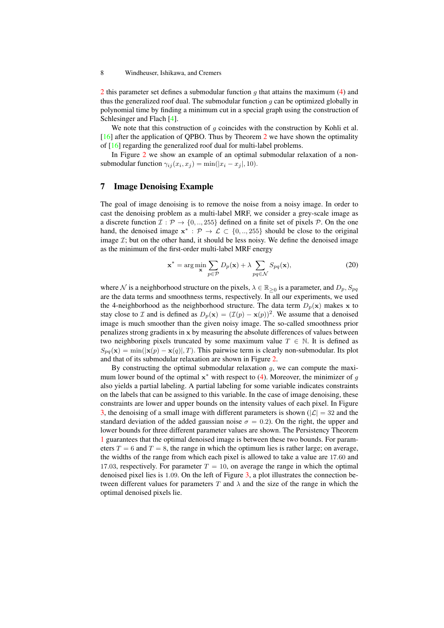<span id="page-7-1"></span>[2](#page-5-5) this parameter set defines a submodular function  $q$  that attains the maximum [\(4\)](#page-2-2) and thus the generalized roof dual. The submodular function  $g$  can be optimized globally in polynomial time by finding a minimum cut in a special graph using the construction of Schlesinger and Flach [\[4\]](#page-12-3).

We note that this construction of  $q$  coincides with the construction by Kohli et al. [\[16\]](#page-13-11) after the application of QPBO. Thus by Theorem [2](#page-5-5) we have shown the optimality of [\[16\]](#page-13-11) regarding the generalized roof dual for multi-label problems.

In Figure [2](#page-6-3) we show an example of an optimal submodular relaxation of a nonsubmodular function  $\gamma_{ij}(x_i, x_j) = \min(|x_i - x_j|, 10)$ .

# 7 Image Denoising Example

The goal of image denoising is to remove the noise from a noisy image. In order to cast the denoising problem as a multi-label MRF, we consider a grey-scale image as a discrete function  $\mathcal{I}: \mathcal{P} \to \{0, \ldots, 255\}$  defined on a finite set of pixels  $\mathcal{P}$ . On the one hand, the denoised image  $x^*$ :  $\mathcal{P} \to \mathcal{L} \subset \{0, \ldots, 255\}$  should be close to the original image  $I$ ; but on the other hand, it should be less noisy. We define the denoised image as the minimum of the first-order multi-label MRF energy

<span id="page-7-0"></span>
$$
\mathbf{x}^* = \arg\min_{\mathbf{x}} \sum_{p \in \mathcal{P}} D_p(\mathbf{x}) + \lambda \sum_{pq \in \mathcal{N}} S_{pq}(\mathbf{x}),\tag{20}
$$

where N is a neighborhood structure on the pixels,  $\lambda \in \mathbb{R}_{\geq 0}$  is a parameter, and  $D_p$ ,  $S_{pq}$ are the data terms and smoothness terms, respectively. In all our experiments, we used the 4-neighborhood as the neighborhood structure. The data term  $D_p(x)$  makes x to stay close to *I* and is defined as  $D_p(\mathbf{x}) = (\mathcal{I}(p) - \mathbf{x}(p))^2$ . We assume that a denoised image is much smoother than the given noisy image. The so-called smoothness prior penalizes strong gradients in  $x$  by measuring the absolute differences of values between two neighboring pixels truncated by some maximum value  $T \in \mathbb{N}$ . It is defined as  $S_{pq}(\mathbf{x}) = \min(|\mathbf{x}(p) - \mathbf{x}(q)|, T)$ . This pairwise term is clearly non-submodular. Its plot and that of its submodular relaxation are shown in Figure [2.](#page-6-3)

By constructing the optimal submodular relaxation  $q$ , we can compute the maximum lower bound of the optimal  $x^*$  with respect to [\(4\)](#page-2-2). Moreover, the minimizer of g also yields a partial labeling. A partial labeling for some variable indicates constraints on the labels that can be assigned to this variable. In the case of image denoising, these constraints are lower and upper bounds on the intensity values of each pixel. In Figure [3,](#page-8-0) the denoising of a small image with different parameters is shown ( $|\mathcal{L}| = 32$  and the standard deviation of the added gaussian noise  $\sigma = 0.2$ ). On the right, the upper and lower bounds for three different parameter values are shown. The Persistency Theorem [1](#page-4-0) guarantees that the optimal denoised image is between these two bounds. For parameters  $T = 6$  and  $T = 8$ , the range in which the optimum lies is rather large; on average, the widths of the range from which each pixel is allowed to take a value are 17.60 and 17.03, respectively. For parameter  $T = 10$ , on average the range in which the optimal denoised pixel lies is 1.09. On the left of Figure [3,](#page-8-0) a plot illustrates the connection between different values for parameters  $T$  and  $\lambda$  and the size of the range in which the optimal denoised pixels lie.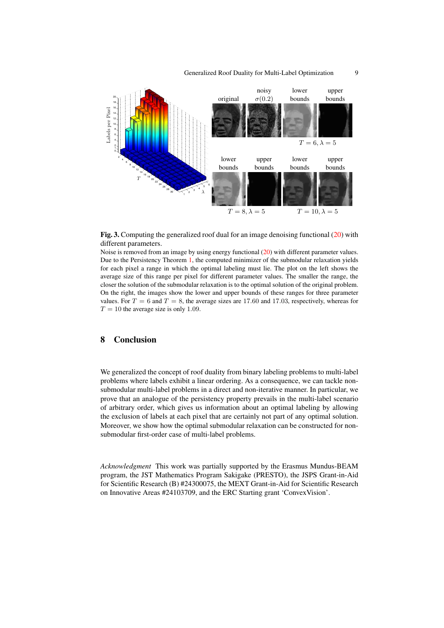### Generalized Roof Duality for Multi-Label Optimization 9



<span id="page-8-0"></span>

Noise is removed from an image by using energy functional [\(20\)](#page-7-0) with different parameter values. Due to the Persistency Theorem [1,](#page-4-0) the computed minimizer of the submodular relaxation yields for each pixel a range in which the optimal labeling must lie. The plot on the left shows the average size of this range per pixel for different parameter values. The smaller the range, the closer the solution of the submodular relaxation is to the optimal solution of the original problem. On the right, the images show the lower and upper bounds of these ranges for three parameter values. For  $T = 6$  and  $T = 8$ , the average sizes are 17.60 and 17.03, respectively, whereas for  $T = 10$  the average size is only 1.09.

### 8 Conclusion

We generalized the concept of roof duality from binary labeling problems to multi-label problems where labels exhibit a linear ordering. As a consequence, we can tackle nonsubmodular multi-label problems in a direct and non-iterative manner. In particular, we prove that an analogue of the persistency property prevails in the multi-label scenario of arbitrary order, which gives us information about an optimal labeling by allowing the exclusion of labels at each pixel that are certainly not part of any optimal solution. Moreover, we show how the optimal submodular relaxation can be constructed for nonsubmodular first-order case of multi-label problems.

*Acknowledgment* This work was partially supported by the Erasmus Mundus-BEAM program, the JST Mathematics Program Sakigake (PRESTO), the JSPS Grant-in-Aid for Scientific Research (B) #24300075, the MEXT Grant-in-Aid for Scientific Research on Innovative Areas #24103709, and the ERC Starting grant 'ConvexVision'.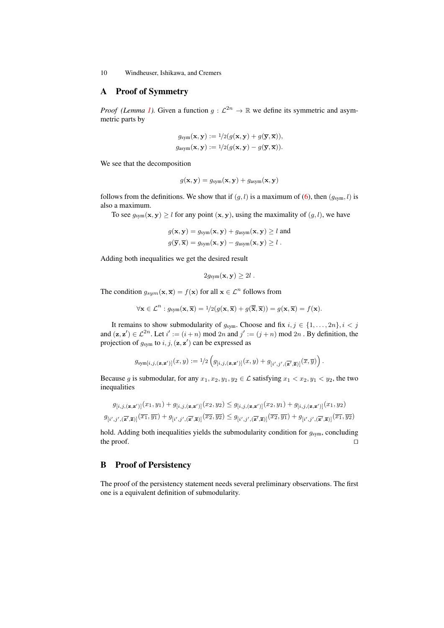### A Proof of Symmetry

*Proof (Lemma [1\)](#page-3-1).* Given a function  $g: \mathcal{L}^{2n} \to \mathbb{R}$  we define its symmetric and asymmetric parts by

$$
g_{\text{sym}}(\mathbf{x}, \mathbf{y}) := \frac{1}{2}(g(\mathbf{x}, \mathbf{y}) + g(\overline{\mathbf{y}}, \overline{\mathbf{x}})),
$$
  

$$
g_{\text{asym}}(\mathbf{x}, \mathbf{y}) := \frac{1}{2}(g(\mathbf{x}, \mathbf{y}) - g(\overline{\mathbf{y}}, \overline{\mathbf{x}})).
$$

We see that the decomposition

$$
g(\mathbf{x}, \mathbf{y}) = g_{\text{sym}}(\mathbf{x}, \mathbf{y}) + g_{\text{asym}}(\mathbf{x}, \mathbf{y})
$$

follows from the definitions. We show that if  $(q, l)$  is a maximum of  $(6)$ , then  $(q_{sym}, l)$  is also a maximum.

To see  $g_{sym}(\mathbf{x}, \mathbf{y}) \ge l$  for any point  $(\mathbf{x}, \mathbf{y})$ , using the maximality of  $(g, l)$ , we have

$$
g(\mathbf{x}, \mathbf{y}) = g_{\text{sym}}(\mathbf{x}, \mathbf{y}) + g_{\text{asym}}(\mathbf{x}, \mathbf{y}) \ge l \text{ and}
$$
  

$$
g(\overline{\mathbf{y}}, \overline{\mathbf{x}}) = g_{\text{sym}}(\mathbf{x}, \mathbf{y}) - g_{\text{asym}}(\mathbf{x}, \mathbf{y}) \ge l.
$$

Adding both inequalities we get the desired result

$$
2g_{sym}(\mathbf{x}, \mathbf{y}) \geq 2l.
$$

The condition  $g_{sym}(\mathbf{x}, \overline{\mathbf{x}}) = f(\mathbf{x})$  for all  $\mathbf{x} \in \mathcal{L}^n$  follows from

$$
\forall \mathbf{x} \in \mathcal{L}^n : g_{\text{sym}}(\mathbf{x}, \overline{\mathbf{x}}) = 1/2(g(\mathbf{x}, \overline{\mathbf{x}}) + g(\overline{\overline{\mathbf{x}}}, \overline{\mathbf{x}})) = g(\mathbf{x}, \overline{\mathbf{x}}) = f(\mathbf{x}).
$$

It remains to show submodularity of  $g_{sym}$ . Choose and fix  $i, j \in \{1, ..., 2n\}, i < j$ and  $(z, z') \in \mathcal{L}^{2n}$ . Let  $i' := (i + n) \text{ mod } 2n$  and  $j' := (j + n) \text{ mod } 2n$ . By definition, the projection of  $g_{sym}$  to  $i, j, (\mathbf{z}, \mathbf{z}')$  can be expressed as

$$
g_{\mathrm{sym}[i,j,(\mathbf{z},\mathbf{z}')]}\big(x,y) := \textcolor{black}{1/2} \left( g_{[i,j,(\mathbf{z},\mathbf{z}')]}\big(x,y) + g_{[i',j',(\overline{\mathbf{z}'},\overline{\mathbf{z}})]}(\overline{x},\overline{y}) \right).
$$

Because g is submodular, for any  $x_1, x_2, y_1, y_2 \in \mathcal{L}$  satisfying  $x_1 < x_2, y_1 < y_2$ , the two inequalities

$$
g_{\left[i,j,\left(\mathbf{z},\mathbf{z}'\right)\right]}(x_1,y_1) + g_{\left[i,j,\left(\mathbf{z},\mathbf{z}'\right)\right]}(x_2,y_2) \le g_{\left[i,j,\left(\mathbf{z},\mathbf{z}'\right)\right]}(x_2,y_1) + g_{\left[i,j,\left(\mathbf{z},\mathbf{z}'\right)\right]}(x_1,y_2)
$$
\n
$$
g_{\left[i',j',\left(\overline{\mathbf{z}'},\overline{\mathbf{z}}\right)\right]}(\overline{x_1},\overline{y_1}) + g_{\left[i',j',\left(\overline{\mathbf{z}'},\overline{\mathbf{z}}\right)\right]}(\overline{x_2},\overline{y_2}) \le g_{\left[i',j',\left(\overline{\mathbf{z}'},\overline{\mathbf{z}}\right)\right]}(\overline{x_2},\overline{y_1}) + g_{\left[i',j',\left(\overline{\mathbf{z}'},\overline{\mathbf{z}}\right)\right]}(\overline{x_1},\overline{y_2})
$$

hold. Adding both inequalities yields the submodularity condition for  $g_{sym}$ , concluding the proof.  $\Box$ 

# B Proof of Persistency

<span id="page-9-0"></span>The proof of the persistency statement needs several preliminary observations. The first one is a equivalent definition of submodularity.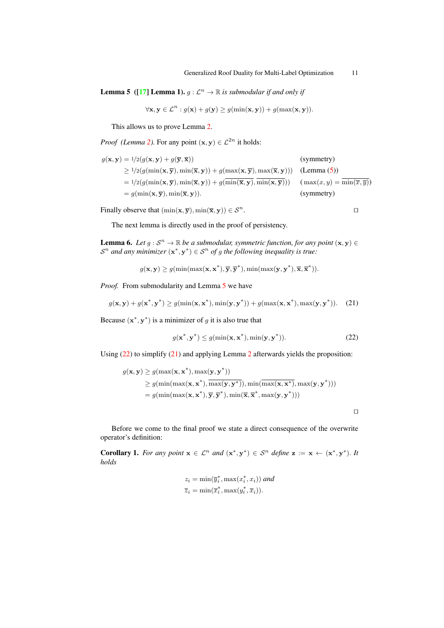<span id="page-10-4"></span>**Lemma 5** ([\[17\]](#page-13-12) **Lemma 1).**  $g : \mathcal{L}^n \to \mathbb{R}$  is submodular if and only if

<span id="page-10-1"></span>
$$
\forall \mathbf{x}, \mathbf{y} \in \mathcal{L}^n : g(\mathbf{x}) + g(\mathbf{y}) \ge g(\min(\mathbf{x}, \mathbf{y})) + g(\max(\mathbf{x}, \mathbf{y})).
$$

This allows us to prove Lemma [2.](#page-4-3)

*Proof* (*Lemma 2*). For any point  $(\mathbf{x}, \mathbf{y}) \in \mathcal{L}^{2n}$  it holds:

| $g(\mathbf{x}, \mathbf{y}) = 1/2(g(\mathbf{x}, \mathbf{y}) + g(\overline{\mathbf{y}}, \overline{\mathbf{x}}))$                                                                                    | (symmetry)                                       |
|---------------------------------------------------------------------------------------------------------------------------------------------------------------------------------------------------|--------------------------------------------------|
| $\geq 1/2(g(\min(\mathbf{x}, \overline{\mathbf{y}}), \min(\overline{\mathbf{x}}, \mathbf{y})) + g(\max(\mathbf{x}, \overline{\mathbf{y}}), \max(\overline{\mathbf{x}}, \mathbf{y})))$ (Lemma (5)) |                                                  |
| $= 1/2(g(\min(\mathbf{x},\overline{\mathbf{y}}),\min(\overline{\mathbf{x}},\mathbf{y})) + g(\min(\overline{\mathbf{x}},\mathbf{y}),\min(\mathbf{x},\overline{\mathbf{y}})))$                      | $(\max(x,y) = \min(\overline{x}, \overline{y}))$ |
| $= g(\min(\mathbf{x}, \overline{\mathbf{y}}), \min(\overline{\mathbf{x}}, \mathbf{y})).$                                                                                                          | (symmetry)                                       |

Finally observe that  $(\min(\mathbf{x}, \overline{\mathbf{y}}), \min(\overline{\mathbf{x}}, \mathbf{y})) \in \mathcal{S}^n$ . . **utilize the contract of the contract of the contract of the contract of the contract of the contract of the contract of the contract of the contract of the contract of the contract of the contract of the contract of the** 

The next lemma is directly used in the proof of persistency.

<span id="page-10-2"></span>**Lemma 6.** Let  $g : S^n \to \mathbb{R}$  be a submodular, symmetric function, for any point  $(x, y) \in$  $S<sup>n</sup>$  and any minimizer  $(x^*, y^*) \in S<sup>n</sup>$  of g the following inequality is true:

 $g(\mathbf{x}, \mathbf{y}) \geq g(\min(\max(\mathbf{x}, \mathbf{x}^*), \overline{\mathbf{y}}, \overline{\mathbf{y}}^*), \min(\max(\mathbf{y}, \mathbf{y}^*), \overline{\mathbf{x}}, \overline{\mathbf{x}}^*)).$ 

*Proof.* From submodularity and Lemma [5](#page-9-0) we have

$$
g(\mathbf{x}, \mathbf{y}) + g(\mathbf{x}^*, \mathbf{y}^*) \ge g(\min(\mathbf{x}, \mathbf{x}^*), \min(\mathbf{y}, \mathbf{y}^*)) + g(\max(\mathbf{x}, \mathbf{x}^*), \max(\mathbf{y}, \mathbf{y}^*)). \tag{21}
$$

Because  $(x^*, y^*)$  is a minimizer of g it is also true that

$$
g(\mathbf{x}^*, \mathbf{y}^*) \le g(\min(\mathbf{x}, \mathbf{x}^*), \min(\mathbf{y}, \mathbf{y}^*)).
$$
\n(22)

<span id="page-10-0"></span> $\Box$ 

Using [\(22\)](#page-10-0) to simplify [\(21\)](#page-10-1) and applying Lemma [2](#page-4-3) afterwards yields the proposition:

$$
g(\mathbf{x}, \mathbf{y}) \ge g(\max(\mathbf{x}, \mathbf{x}^*), \max(\mathbf{y}, \mathbf{y}^*))
$$
  
\n
$$
\ge g(\min(\max(\mathbf{x}, \mathbf{x}^*), \max(\mathbf{y}, \mathbf{y}^*)), \min(\max(\mathbf{x}, \mathbf{x}^*), \max(\mathbf{y}, \mathbf{y}^*)))
$$
  
\n
$$
= g(\min(\max(\mathbf{x}, \mathbf{x}^*), \overline{\mathbf{y}}, \overline{\mathbf{y}}^*), \min(\overline{\mathbf{x}}, \overline{\mathbf{x}}^*, \max(\mathbf{y}, \mathbf{y}^*)))
$$

Before we come to the final proof we state a direct consequence of the overwrite operator's definition:

**Corollary 1.** For any point  $x \in \mathcal{L}^n$  and  $(x^*, y^*) \in \mathcal{S}^n$  define  $z := x \leftarrow (x^*, y^*)$ . It *holds*

<span id="page-10-3"></span>
$$
z_i = \min(\overline{y}_i^*, \max(x_i^*, x_i)) \text{ and}
$$
  

$$
\overline{z}_i = \min(\overline{x}_i^*, \max(y_i^*, \overline{x}_i)).
$$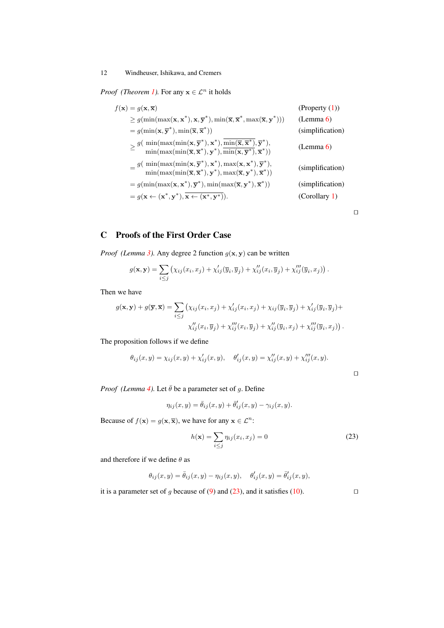*Proof (Theorem [1\)](#page-4-0)*. For any  $x \in \mathcal{L}^n$  it holds

| $f(\mathbf{x}) = q(\mathbf{x}, \overline{\mathbf{x}})$                                                                                                                                                                                                                                                                                          | (Property $(1)$ ) |
|-------------------------------------------------------------------------------------------------------------------------------------------------------------------------------------------------------------------------------------------------------------------------------------------------------------------------------------------------|-------------------|
| $\geq g(\min(\max(\mathbf{x}, \mathbf{x}^*), \mathbf{x}, \overline{\mathbf{y}}^*), \min(\overline{\mathbf{x}}, \overline{\mathbf{x}}^*, \max(\overline{\mathbf{x}}, \mathbf{y}^*)))$                                                                                                                                                            | (Lemma 6)         |
| $= g(\min(\mathbf{x}, \overline{\mathbf{y}}^*) , \min(\overline{\mathbf{x}}, \overline{\mathbf{x}}^*))$                                                                                                                                                                                                                                         | (simplification)  |
| $\geq \frac{g(\min(\max(\min(\mathbf{x}, \overline{\mathbf{y}}^*), \mathbf{x}^*, \overline{\min(\overline{\mathbf{x}}, \overline{\mathbf{x}}^*, \overline{\mathbf{y}}^*, \overline{\mathbf{y}}^*, \overline{\min(\max(\min(\overline{\mathbf{x}}, \overline{\mathbf{x}}^*, \mathbf{y}^*, \overline{\mathbf{x}}^*, \overline{\mathbf{x}}^*)))}}$ | (Lemma 6)         |
| $= \frac{g(\ \min(\max(\min(\mathbf{x},\overline{\mathbf{y}}^*),\mathbf{x}^*),\max(\mathbf{x},\mathbf{x}^*),\overline{\mathbf{y}}^*),}{\min(\max(\min(\overline{\mathbf{x}},\overline{\mathbf{x}}^*),\mathbf{y}^*),\max(\overline{\mathbf{x}},\mathbf{y}^*),\overline{\mathbf{x}}^*))}$                                                         | (simplification)  |
| $= g(\min(\max(\mathbf{x}, \mathbf{x}^*, \overline{\mathbf{y}}^*, \min(\max(\overline{\mathbf{x}}, \mathbf{y}^*, \overline{\mathbf{x}}^*))$                                                                                                                                                                                                     | (simplification)  |
| $= g(\mathbf{x} \leftarrow (\mathbf{x}^*, \mathbf{y}^*), \overline{\mathbf{x} \leftarrow (\mathbf{x}^*, \mathbf{y}^*)}).$                                                                                                                                                                                                                       | (Corollary 1)     |

 $\Box$ 

 $\Box$ 

# C Proofs of the First Order Case

*Proof* (Lemma [3\)](#page-5-6). Any degree 2 function  $g(x, y)$  can be written

<span id="page-11-0"></span>
$$
g(\mathbf{x},\mathbf{y}) = \sum_{i\leq j} \left( \chi_{ij}(x_i,x_j) + \chi'_{ij}(\overline{y}_i,\overline{y}_j) + \chi''_{ij}(x_i,\overline{y}_j) + \chi''_{ij}(\overline{y}_i,x_j) \right).
$$

Then we have

$$
g(\mathbf{x}, \mathbf{y}) + g(\overline{\mathbf{y}}, \overline{\mathbf{x}}) = \sum_{i \leq j} (\chi_{ij}(x_i, x_j) + \chi'_{ij}(x_i, x_j) + \chi_{ij}(\overline{y}_i, \overline{y}_j) + \chi'_{ij}(\overline{y}_i, \overline{y}_j) + \chi''_{ij}(x_i, \overline{y}_j) + \chi''_{ij}(x_i, \overline{y}_j) + \chi''_{ij}(\overline{y}_i, x_j) + \chi''_{ij}(\overline{y}_i, x_j)).
$$

The proposition follows if we define

$$
\theta_{ij}(x, y) = \chi_{ij}(x, y) + \chi'_{ij}(x, y), \quad \theta'_{ij}(x, y) = \chi''_{ij}(x, y) + \chi''_{ij}(x, y).
$$

*Proof* (*Lemma* [4\)](#page-5-7). Let  $\bar{\theta}$  be a parameter set of g. Define

$$
\eta_{ij}(x,y) = \bar{\theta}_{ij}(x,y) + \bar{\theta}'_{ij}(x,y) - \gamma_{ij}(x,y).
$$

Because of  $f(\mathbf{x}) = g(\mathbf{x}, \overline{\mathbf{x}})$ , we have for any  $\mathbf{x} \in \mathcal{L}^n$ :

$$
h(\mathbf{x}) = \sum_{i \le j} \eta_{ij}(x_i, x_j) = 0
$$
\n(23)

and therefore if we define  $\theta$  as

$$
\theta_{ij}(x,y) = \bar{\theta}_{ij}(x,y) - \eta_{ij}(x,y), \quad \theta'_{ij}(x,y) = \bar{\theta}'_{ij}(x,y),
$$

it is a parameter set of g because of [\(9\)](#page-5-8) and [\(23\)](#page-11-0), and it satisfies [\(10\)](#page-5-9).  $\square$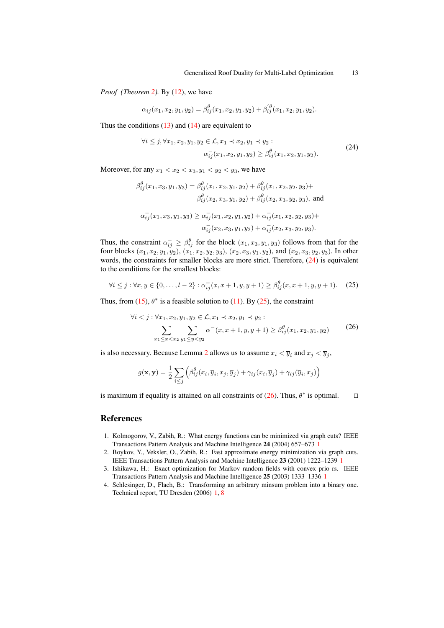*Proof (Theorem [2\)](#page-5-5).* By [\(12\)](#page-5-1), we have

$$
\alpha_{ij}(x_1, x_2, y_1, y_2) = \beta_{ij}^{\theta}(x_1, x_2, y_1, y_2) + \beta_{ij}^{'\theta}(x_1, x_2, y_1, y_2).
$$

Thus the conditions  $(13)$  and  $(14)$  are equivalent to

<span id="page-12-4"></span>
$$
\forall i \leq j, \forall x_1, x_2, y_1, y_2 \in \mathcal{L}, x_1 \prec x_2, y_1 \prec y_2:
$$
  
\n
$$
\alpha_{ij}^-(x_1, x_2, y_1, y_2) \geq \beta_{ij}^{\theta}(x_1, x_2, y_1, y_2).
$$
\n(24)

Moreover, for any  $x_1 < x_2 < x_3, y_1 < y_2 < y_3$ , we have

θ

$$
\beta_{ij}^{\theta}(x_1, x_3, y_1, y_3) = \beta_{ij}^{\theta}(x_1, x_2, y_1, y_2) + \beta_{ij}^{\theta}(x_1, x_2, y_2, y_3) +
$$
  

$$
\beta_{ij}^{\theta}(x_2, x_3, y_1, y_2) + \beta_{ij}^{\theta}(x_2, x_3, y_2, y_3), \text{ and}
$$
  

$$
\alpha_{ij}^-(x_1, x_3, y_1, y_3) \ge \alpha_{ij}^-(x_1, x_2, y_1, y_2) + \alpha_{ij}^-(x_1, x_2, y_2, y_3) +
$$
  

$$
\alpha_{ij}^-(x_2, x_3, y_1, y_2) + \alpha_{ij}^-(x_2, x_3, y_2, y_3).
$$

Thus, the constraint  $\alpha_{ij}^- \ge \beta_{ij}^\theta$  for the block  $(x_1, x_3, y_1, y_3)$  follows from that for the four blocks  $(x_1, x_2, y_1, y_2)$ ,  $(x_1, x_2, y_2, y_3)$ ,  $(x_2, x_3, y_1, y_2)$ , and  $(x_2, x_3, y_2, y_3)$ . In other words, the constraints for smaller blocks are more strict. Therefore,  $(24)$  is equivalent to the conditions for the smallest blocks:

<span id="page-12-5"></span>
$$
\forall i \leq j : \forall x, y \in \{0, \dots, l-2\} : \alpha_{ij}^-(x, x+1, y, y+1) \geq \beta_{ij}^{\theta}(x, x+1, y, y+1). \tag{25}
$$

Thus, from [\(15\)](#page-6-2),  $\theta^*$  is a feasible solution to [\(11\)](#page-5-4). By [\(25\)](#page-12-5), the constraint

<span id="page-12-6"></span>
$$
\forall i < j : \forall x_1, x_2, y_1, y_2 \in \mathcal{L}, x_1 \prec x_2, y_1 \prec y_2 : \\
\sum_{x_1 \le x < x_2} \sum_{y_1 \le y < y_2} \alpha^-(x, x+1, y, y+1) \ge \beta_{ij}^\theta(x_1, x_2, y_1, y_2) \tag{26}
$$

is also necessary. Because Lemma [2](#page-4-3) allows us to assume  $x_i < \overline{y}_i$  and  $x_j < \overline{y}_j$ ,

$$
g(\mathbf{x}, \mathbf{y}) = \frac{1}{2} \sum_{i \leq j} \left( \beta_{ij}^{\theta}(x_i, \overline{y}_i, x_j, \overline{y}_j) + \gamma_{ij}(x_i, \overline{y}_j) + \gamma_{ij}(\overline{y}_i, x_j) \right)
$$

is maximum if equality is attained on all constraints of [\(26\)](#page-12-6). Thus,  $\theta^*$  is optimal.  $\square$ 

#### References

- <span id="page-12-0"></span>1. Kolmogorov, V., Zabih, R.: What energy functions can be minimized via graph cuts? IEEE Transactions Pattern Analysis and Machine Intelligence 24 (2004) 657–673 [1](#page-0-0)
- <span id="page-12-1"></span>2. Boykov, Y., Veksler, O., Zabih, R.: Fast approximate energy minimization via graph cuts. IEEE Transactions Pattern Analysis and Machine Intelligence 23 (2001) 1222–1239 [1](#page-0-0)
- <span id="page-12-2"></span>3. Ishikawa, H.: Exact optimization for Markov random fields with convex prio rs. IEEE Transactions Pattern Analysis and Machine Intelligence 25 (2003) 1333–1336 [1](#page-0-0)
- <span id="page-12-3"></span>4. Schlesinger, D., Flach, B.: Transforming an arbitrary minsum problem into a binary one. Technical report, TU Dresden (2006) [1,](#page-0-0) [8](#page-7-1)